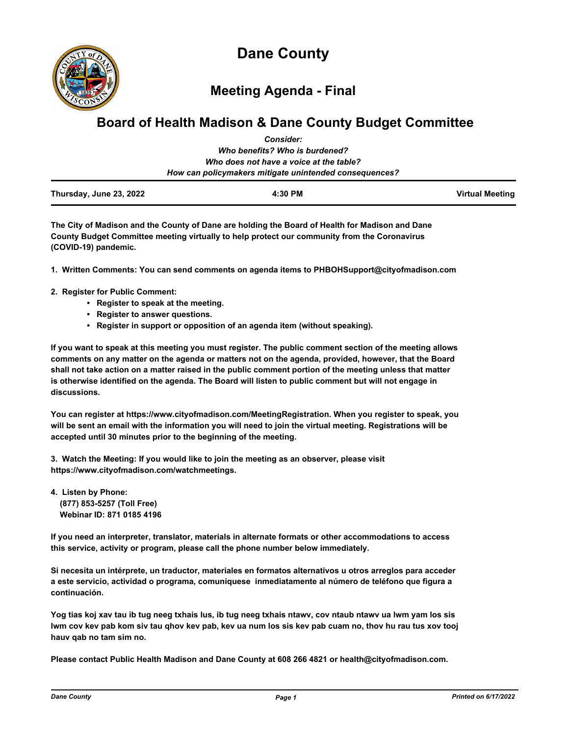

**Meeting Agenda - Final**

# **Board of Health Madison & Dane County Budget Committee** *Consider:*

| Thursday, June 23, 2022 | 4:30 PM                                                | <b>Virtual Meeting</b> |
|-------------------------|--------------------------------------------------------|------------------------|
|                         | How can policymakers mitigate unintended consequences? |                        |
|                         | Who does not have a voice at the table?                |                        |
|                         | Who benefits? Who is burdened?                         |                        |
|                         | GUISIUCI.                                              |                        |

**The City of Madison and the County of Dane are holding the Board of Health for Madison and Dane County Budget Committee meeting virtually to help protect our community from the Coronavirus (COVID-19) pandemic.**

**1. Written Comments: You can send comments on agenda items to PHBOHSupport@cityofmadison.com**

- **2. Register for Public Comment:** 
	- **Register to speak at the meeting.**
	- **Register to answer questions.**
	- **Register in support or opposition of an agenda item (without speaking).**

**If you want to speak at this meeting you must register. The public comment section of the meeting allows comments on any matter on the agenda or matters not on the agenda, provided, however, that the Board shall not take action on a matter raised in the public comment portion of the meeting unless that matter is otherwise identified on the agenda. The Board will listen to public comment but will not engage in discussions.**

**You can register at https://www.cityofmadison.com/MeetingRegistration. When you register to speak, you will be sent an email with the information you will need to join the virtual meeting. Registrations will be accepted until 30 minutes prior to the beginning of the meeting.** 

**3. Watch the Meeting: If you would like to join the meeting as an observer, please visit https://www.cityofmadison.com/watchmeetings.**

**4. Listen by Phone: (877) 853-5257 (Toll Free) Webinar ID: 871 0185 4196**

**If you need an interpreter, translator, materials in alternate formats or other accommodations to access this service, activity or program, please call the phone number below immediately.**

**Si necesita un intérprete, un traductor, materiales en formatos alternativos u otros arreglos para acceder a este servicio, actividad o programa, comuníquese inmediatamente al número de teléfono que figura a continuación.**

**Yog tias koj xav tau ib tug neeg txhais lus, ib tug neeg txhais ntawv, cov ntaub ntawv ua lwm yam los sis lwm cov kev pab kom siv tau qhov kev pab, kev ua num los sis kev pab cuam no, thov hu rau tus xov tooj hauv qab no tam sim no.**

**Please contact Public Health Madison and Dane County at 608 266 4821 or health@cityofmadison.com.**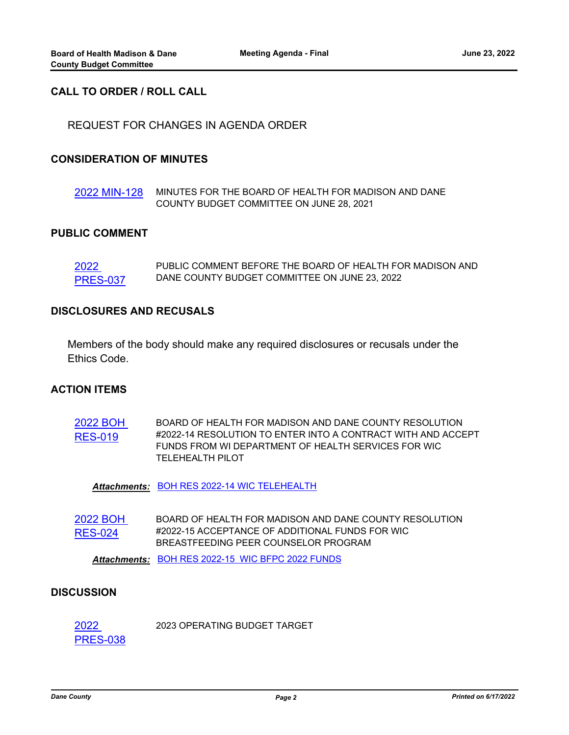## **CALL TO ORDER / ROLL CALL**

REQUEST FOR CHANGES IN AGENDA ORDER

## **CONSIDERATION OF MINUTES**

[2022 MIN-128](http://dane.legistar.com/gateway.aspx?m=l&id=/matter.aspx?key=23117) MINUTES FOR THE BOARD OF HEALTH FOR MADISON AND DANE COUNTY BUDGET COMMITTEE ON JUNE 28, 2021

#### **PUBLIC COMMENT**

2022 [PRES-037](http://dane.legistar.com/gateway.aspx?m=l&id=/matter.aspx?key=23118) PUBLIC COMMENT BEFORE THE BOARD OF HEALTH FOR MADISON AND DANE COUNTY BUDGET COMMITTEE ON JUNE 23, 2022

#### **DISCLOSURES AND RECUSALS**

Members of the body should make any required disclosures or recusals under the Ethics Code.

## **ACTION ITEMS**

[2022 BOH](http://dane.legistar.com/gateway.aspx?m=l&id=/matter.aspx?key=23116)  RES-019 BOARD OF HEALTH FOR MADISON AND DANE COUNTY RESOLUTION #2022-14 RESOLUTION TO ENTER INTO A CONTRACT WITH AND ACCEPT FUNDS FROM WI DEPARTMENT OF HEALTH SERVICES FOR WIC TELEHEALTH PILOT

*Attachments:* [BOH RES 2022-14 WIC TELEHEALTH](http://dane.legistar.com/gateway.aspx?M=F&ID=d6ead507-f270-4c26-bda6-f57644611e53.pdf)

[2022 BOH](http://dane.legistar.com/gateway.aspx?m=l&id=/matter.aspx?key=23122)  RES-024 BOARD OF HEALTH FOR MADISON AND DANE COUNTY RESOLUTION #2022-15 ACCEPTANCE OF ADDITIONAL FUNDS FOR WIC BREASTFEEDING PEER COUNSELOR PROGRAM

*Attachments:* [BOH RES 2022-15 WIC BFPC 2022 FUNDS](http://dane.legistar.com/gateway.aspx?M=F&ID=027a7bb1-7e9a-467f-82ce-c1d3f0538556.pdf)

## **DISCUSSION**

2022 [PRES-038](http://dane.legistar.com/gateway.aspx?m=l&id=/matter.aspx?key=23119) 2023 OPERATING BUDGET TARGET